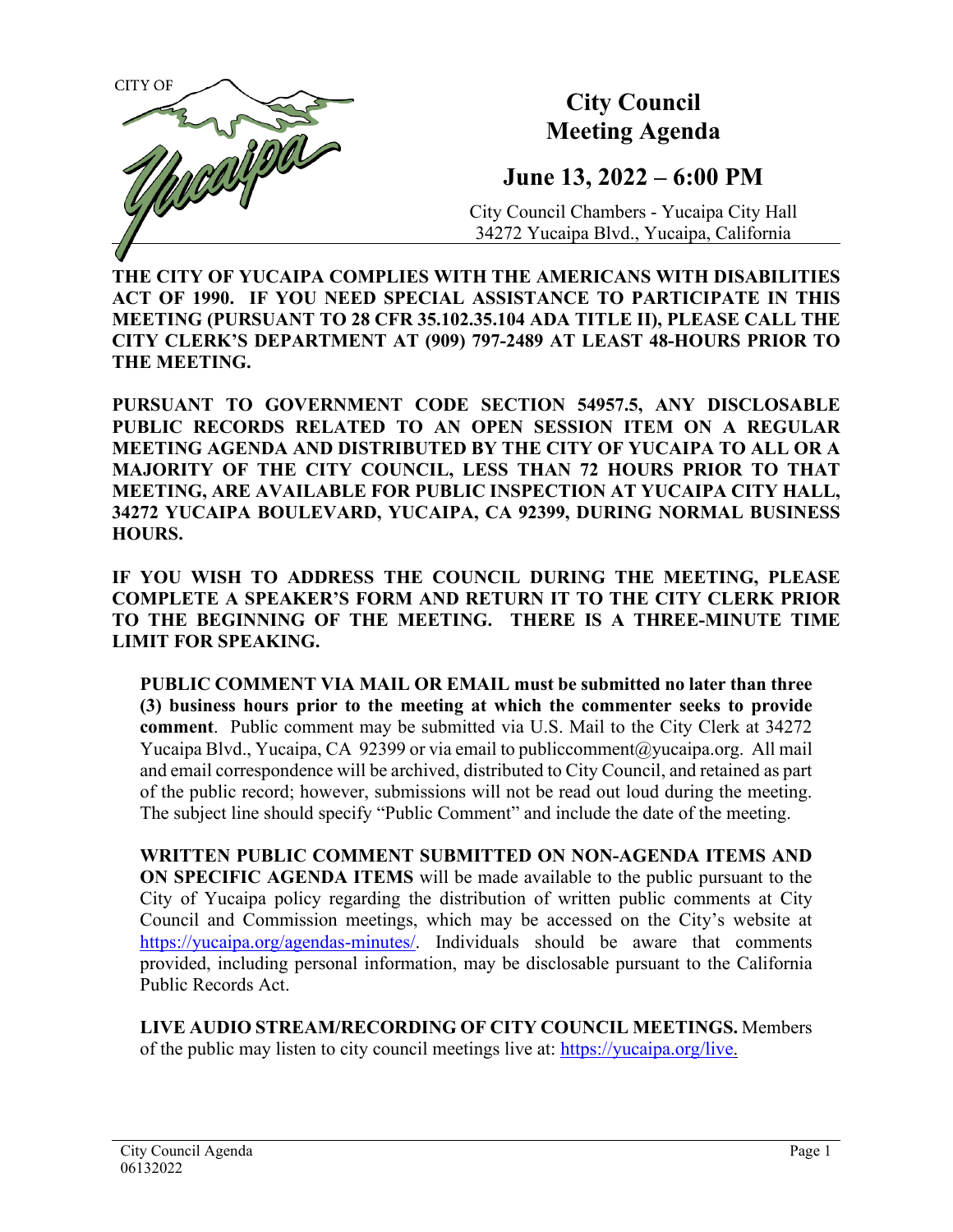

**THE CITY OF YUCAIPA COMPLIES WITH THE AMERICANS WITH DISABILITIES ACT OF 1990. IF YOU NEED SPECIAL ASSISTANCE TO PARTICIPATE IN THIS MEETING (PURSUANT TO 28 CFR 35.102.35.104 ADA TITLE II), PLEASE CALL THE CITY CLERK'S DEPARTMENT AT (909) 797-2489 AT LEAST 48-HOURS PRIOR TO THE MEETING.**

**PURSUANT TO GOVERNMENT CODE SECTION 54957.5, ANY DISCLOSABLE PUBLIC RECORDS RELATED TO AN OPEN SESSION ITEM ON A REGULAR MEETING AGENDA AND DISTRIBUTED BY THE CITY OF YUCAIPA TO ALL OR A MAJORITY OF THE CITY COUNCIL, LESS THAN 72 HOURS PRIOR TO THAT MEETING, ARE AVAILABLE FOR PUBLIC INSPECTION AT YUCAIPA CITY HALL, 34272 YUCAIPA BOULEVARD, YUCAIPA, CA 92399, DURING NORMAL BUSINESS HOURS.**

**IF YOU WISH TO ADDRESS THE COUNCIL DURING THE MEETING, PLEASE COMPLETE A SPEAKER'S FORM AND RETURN IT TO THE CITY CLERK PRIOR TO THE BEGINNING OF THE MEETING. THERE IS A THREE-MINUTE TIME LIMIT FOR SPEAKING.**

**PUBLIC COMMENT VIA MAIL OR EMAIL must be submitted no later than three (3) business hours prior to the meeting at which the commenter seeks to provide comment**. Public comment may be submitted via U.S. Mail to the City Clerk at 34272 Yucaipa Blvd., Yucaipa, CA 92399 or via email t[o publiccomment@yucaipa.org.](mailto:publiccomment@yucaipa.org) All mail and email correspondence will be archived, distributed to City Council, and retained as part of the public record; however, submissions will not be read out loud during the meeting. The subject line should specify "Public Comment" and include the date of the meeting.

**WRITTEN PUBLIC COMMENT SUBMITTED ON NON-AGENDA ITEMS AND ON SPECIFIC AGENDA ITEMS** will be made available to the public pursuant to the City of Yucaipa policy regarding the distribution of written public comments at City Council and Commission meetings, which may be accessed on the City's website at [https://yucaipa.org/agendas-minutes/.](https://yucaipa.org/agendas-minutes/) Individuals should be aware that comments provided, including personal information, may be disclosable pursuant to the California Public Records Act.

**LIVE AUDIO STREAM/RECORDING OF CITY COUNCIL MEETINGS.** Members of the public may listen to city council meetings live at: [https://yucaipa.org/live.](https://yucaipa.org/live)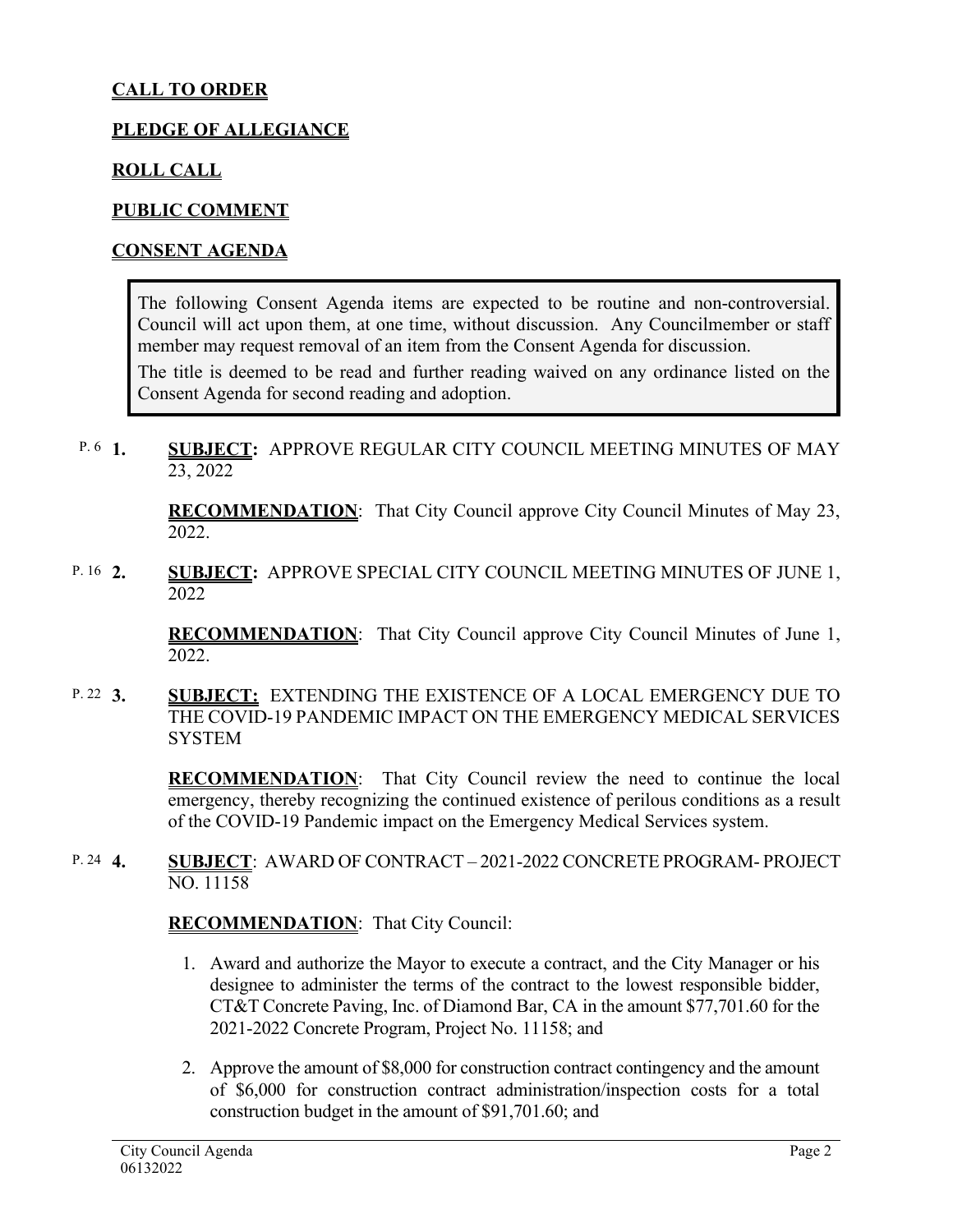# **CALL TO ORDER**

### **PLEDGE OF ALLEGIANCE**

#### **ROLL CALL**

#### **PUBLIC COMMENT**

#### **CONSENT AGENDA**

The following Consent Agenda items are expected to be routine and non-controversial. Council will act upon them, at one time, without discussion. Any Councilmember or staff member may request removal of an item from the Consent Agenda for discussion.

The title is deemed to be read and further reading waived on any ordinance listed on the Consent Agenda for second reading and adoption.

**1. SUBJECT:** APPROVE REGULAR CITY COUNCIL MEETING MINUTES OF MAY 23, 2022 P.  $6 \quad 1$ 

> **RECOMMENDATION**:That City Council approve City Council Minutes of May 23, 2022.

**2. SUBJECT:** APPROVE SPECIAL CITY COUNCIL MEETING MINUTES OF JUNE 1, 2022 P. 16 2.

> **RECOMMENDATION**:That City Council approve City Council Minutes of June 1, 2022.

**3. SUBJECT:** EXTENDING THE EXISTENCE OF A LOCAL EMERGENCY DUE TO THE COVID-19 PANDEMIC IMPACT ON THE EMERGENCY MEDICAL SERVICES **SYSTEM** P. 22  $3.$ 

> **RECOMMENDATION**:That City Council review the need to continue the local emergency, thereby recognizing the continued existence of perilous conditions as a result of the COVID-19 Pandemic impact on the Emergency Medical Services system.

**4. SUBJECT**: AWARD OF CONTRACT – 2021-2022 CONCRETE PROGRAM- PROJECT NO. 11158 P. 24  $\bf{4}$ .

#### **RECOMMENDATION**:That City Council:

- 1. Award and authorize the Mayor to execute a contract, and the City Manager or his designee to administer the terms of the contract to the lowest responsible bidder, CT&T Concrete Paving, Inc. of Diamond Bar, CA in the amount \$77,701.60 for the 2021-2022 Concrete Program, Project No. 11158; and
- 2. Approve the amount of \$8,000 for construction contract contingency and the amount of \$6,000 for construction contract administration/inspection costs for a total construction budget in the amount of \$91,701.60; and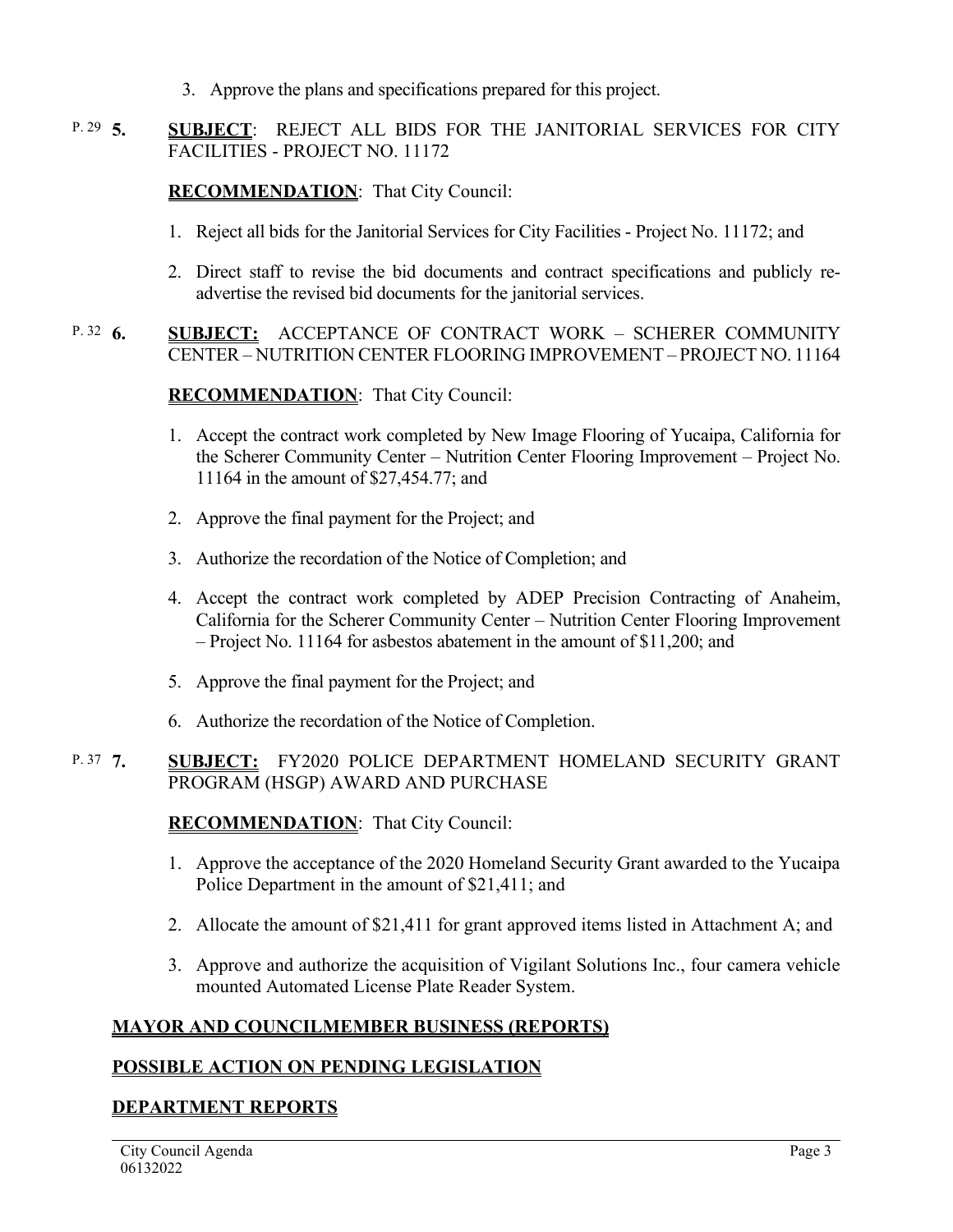3. Approve the plans and specifications prepared for this project.

#### **5. SUBJECT**: REJECT ALL BIDS FOR THE JANITORIAL SERVICES FOR CITY FACILITIES - PROJECT NO. 11172 P. 29  $\overline{5}$ .

## **RECOMMENDATION**:That City Council:

- 1. Reject all bids for the Janitorial Services for City Facilities Project No. 11172; and
- 2. Direct staff to revise the bid documents and contract specifications and publicly readvertise the revised bid documents for the janitorial services.

#### **6. SUBJECT:** ACCEPTANCE OF CONTRACT WORK – SCHERER COMMUNITY CENTER – NUTRITION CENTER FLOORING IMPROVEMENT – PROJECT NO. 11164 P. 32  $6.$

### **RECOMMENDATION**:That City Council:

- 1. Accept the contract work completed by New Image Flooring of Yucaipa, California for the Scherer Community Center – Nutrition Center Flooring Improvement – Project No. 11164 in the amount of \$27,454.77; and
- 2. Approve the final payment for the Project; and
- 3. Authorize the recordation of the Notice of Completion; and
- 4. Accept the contract work completed by ADEP Precision Contracting of Anaheim, California for the Scherer Community Center – Nutrition Center Flooring Improvement – Project No. 11164 for asbestos abatement in the amount of \$11,200; and
- 5. Approve the final payment for the Project; and
- 6. Authorize the recordation of the Notice of Completion.

#### **7. SUBJECT:** FY2020 POLICE DEPARTMENT HOMELAND SECURITY GRANT PROGRAM (HSGP) AWARD AND PURCHASE P. 37 7

### **RECOMMENDATION**:That City Council:

- 1. Approve the acceptance of the 2020 Homeland Security Grant awarded to the Yucaipa Police Department in the amount of \$21,411; and
- 2. Allocate the amount of \$21,411 for grant approved items listed in Attachment A; and
- 3. Approve and authorize the acquisition of Vigilant Solutions Inc., four camera vehicle mounted Automated License Plate Reader System.

### **MAYOR AND COUNCILMEMBER BUSINESS (REPORTS)**

### **POSSIBLE ACTION ON PENDING LEGISLATION**

### **DEPARTMENT REPORTS**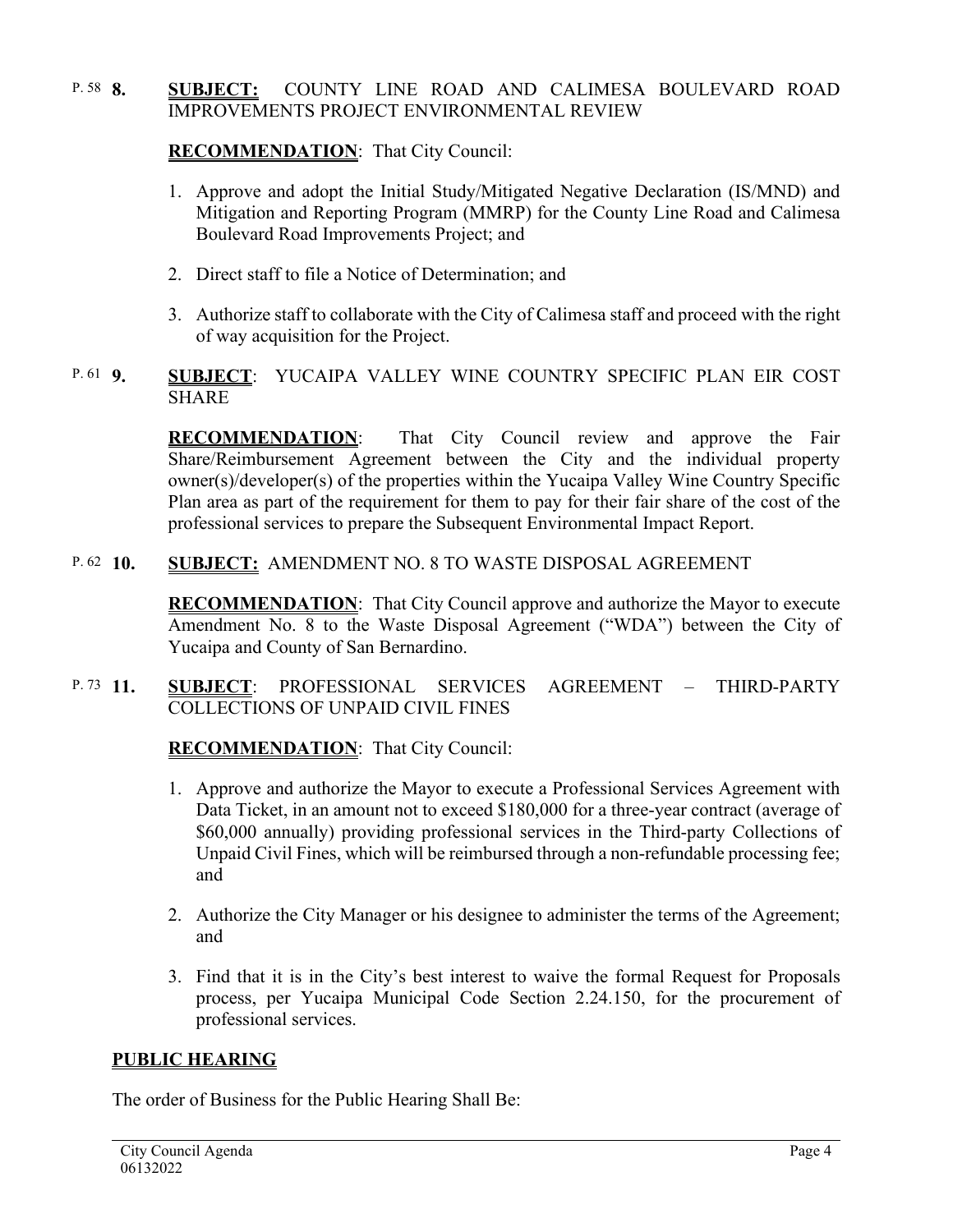#### **8. SUBJECT:** COUNTY LINE ROAD AND CALIMESA BOULEVARD ROAD IMPROVEMENTS PROJECT ENVIRONMENTAL REVIEW P. 58 8.

# **RECOMMENDATION**:That City Council:

- 1. Approve and adopt the Initial Study/Mitigated Negative Declaration (IS/MND) and Mitigation and Reporting Program (MMRP) for the County Line Road and Calimesa Boulevard Road Improvements Project; and
- 2. Direct staff to file a Notice of Determination; and
- 3. Authorize staff to collaborate with the City of Calimesa staff and proceed with the right of way acquisition for the Project.

#### **9. SUBJECT**: YUCAIPA VALLEY WINE COUNTRY SPECIFIC PLAN EIR COST SHARE P.  $61$  9.

**RECOMMENDATION**:That City Council review and approve the Fair Share/Reimbursement Agreement between the City and the individual property owner(s)/developer(s) of the properties within the Yucaipa Valley Wine Country Specific Plan area as part of the requirement for them to pay for their fair share of the cost of the professional services to prepare the Subsequent Environmental Impact Report.

#### **SUBJECT: AMENDMENT NO. 8 TO WASTE DISPOSAL AGREEMENT** P.  $62 \quad 10$ .

**RECOMMENDATION**:That City Council approve and authorize the Mayor to execute Amendment No. 8 to the Waste Disposal Agreement ("WDA") between the City of Yucaipa and County of San Bernardino.

#### **11. SUBJECT**: PROFESSIONAL SERVICES AGREEMENT – THIRD-PARTY COLLECTIONS OF UNPAID CIVIL FINES P. 73 11.

# **RECOMMENDATION**:That City Council:

- 1. Approve and authorize the Mayor to execute a Professional Services Agreement with Data Ticket, in an amount not to exceed \$180,000 for a three-year contract (average of \$60,000 annually) providing professional services in the Third-party Collections of Unpaid Civil Fines, which will be reimbursed through a non-refundable processing fee; and
- 2. Authorize the City Manager or his designee to administer the terms of the Agreement; and
- 3. Find that it is in the City's best interest to waive the formal Request for Proposals process, per Yucaipa Municipal Code Section 2.24.150, for the procurement of professional services.

### **PUBLIC HEARING**

The order of Business for the Public Hearing Shall Be: